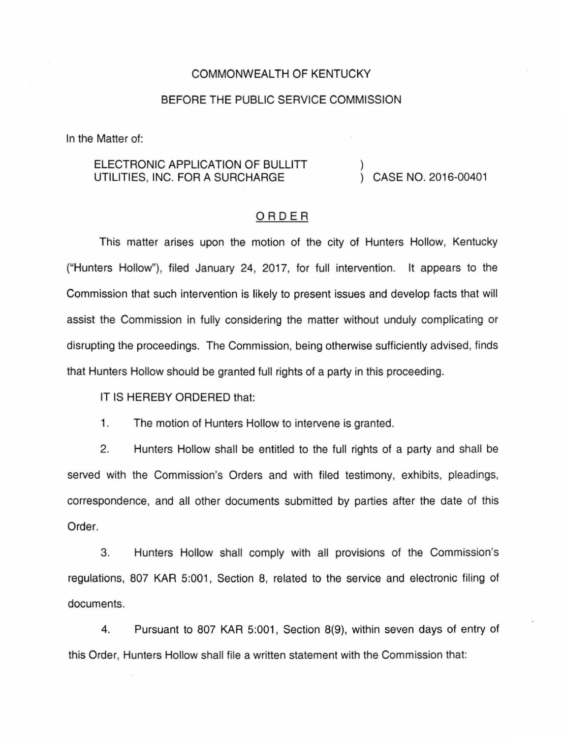## COMMONWEALTH OF KENTUCKY

## BEFORE THE PUBLIC SERVICE COMMISSION

In the Matter of:

## ELECTRONIC APPLICATION OF BULLITT UTILITIES, INC. FOR A SURCHARGE  $\overrightarrow{)}$  CASE NO. 2016-00401

## ORDER

This matter arises upon the motion of the city of Hunters Hollow, Kentucky ("Hunters Hollow"), filed January 24, 2017, for full intervention. It appears to the Commission that such intervention is likely to present issues and develop facts that will assist the Commission in fully considering the matter without unduly complicating or disrupting the proceedings. The Commission, being otherwise sufficiently advised, finds that Hunters Hollow should be granted full rights of a party in this proceeding.

IT IS HEREBY ORDERED that:

1. The motion of Hunters Hollow to intervene is granted.

2. Hunters Hollow shall be entitled to the full rights of a party and shall be served with the Commission's Orders and with filed testimony, exhibits, pleadings, correspondence, and all other documents submitted by parties after the date of this Order.

3. Hunters Hollow shall comply with all provisions of the Commission's regulations, 807 KAR 5:001, Section 8, related to the service and electronic filing of documents.

4. Pursuant to 807 KAR 5:001, Section 8(9), within seven days of entry of this Order, Hunters Hollow shall file a written statement with the Commission that: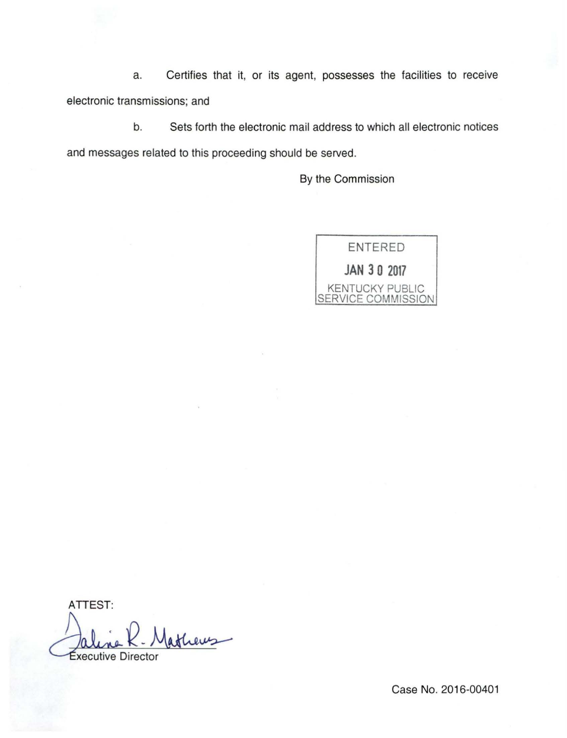a. Certifies that it, or its agent, possesses the facilities to receive electronic transmissions; and

b. Sets forth the electronic mail address to which all electronic notices and messages related to this proceeding should be served.

By the Commission



ATTEST: ATTEST:<br>Jaline R. Matheus

Case No. 2016-00401